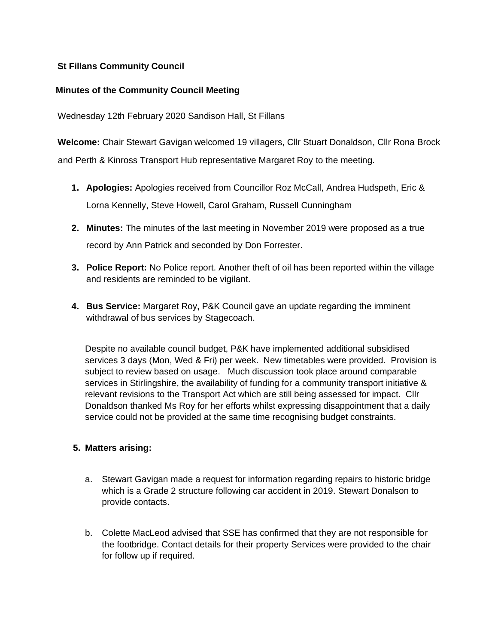# **St Fillans Community Council**

# **Minutes of the Community Council Meeting**

Wednesday 12th February 2020 Sandison Hall, St Fillans

**Welcome:** Chair Stewart Gavigan welcomed 19 villagers, Cllr Stuart Donaldson, Cllr Rona Brock and Perth & Kinross Transport Hub representative Margaret Roy to the meeting.

- **1. Apologies:** Apologies received from Councillor Roz McCall, Andrea Hudspeth, Eric & Lorna Kennelly, Steve Howell, Carol Graham, Russell Cunningham
- **2. Minutes:** The minutes of the last meeting in November 2019 were proposed as a true record by Ann Patrick and seconded by Don Forrester.
- **3. Police Report:** No Police report. Another theft of oil has been reported within the village and residents are reminded to be vigilant.
- **4. Bus Service:** Margaret Roy**,** P&K Council gave an update regarding the imminent withdrawal of bus services by Stagecoach.

Despite no available council budget, P&K have implemented additional subsidised services 3 days (Mon, Wed & Fri) per week. New timetables were provided. Provision is subject to review based on usage. Much discussion took place around comparable services in Stirlingshire, the availability of funding for a community transport initiative & relevant revisions to the Transport Act which are still being assessed for impact. Cllr Donaldson thanked Ms Roy for her efforts whilst expressing disappointment that a daily service could not be provided at the same time recognising budget constraints.

#### **5. Matters arising:**

- a. Stewart Gavigan made a request for information regarding repairs to historic bridge which is a Grade 2 structure following car accident in 2019. Stewart Donalson to provide contacts.
- b. Colette MacLeod advised that SSE has confirmed that they are not responsible for the footbridge. Contact details for their property Services were provided to the chair for follow up if required.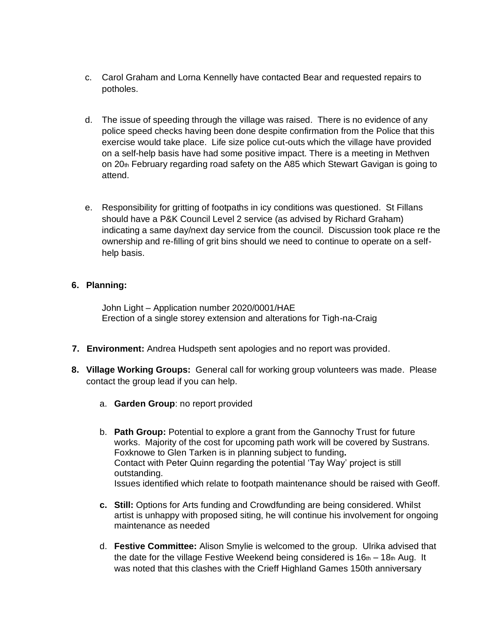- c. Carol Graham and Lorna Kennelly have contacted Bear and requested repairs to potholes.
- d. The issue of speeding through the village was raised. There is no evidence of any police speed checks having been done despite confirmation from the Police that this exercise would take place. Life size police cut-outs which the village have provided on a self-help basis have had some positive impact. There is a meeting in Methven on  $20<sub>th</sub>$  February regarding road safety on the A85 which Stewart Gavigan is going to attend.
- e. Responsibility for gritting of footpaths in icy conditions was questioned. St Fillans should have a P&K Council Level 2 service (as advised by Richard Graham) indicating a same day/next day service from the council. Discussion took place re the ownership and re-filling of grit bins should we need to continue to operate on a selfhelp basis.

#### **6. Planning:**

John Light – Application number 2020/0001/HAE Erection of a single storey extension and alterations for Tigh-na-Craig

- **7. Environment:** Andrea Hudspeth sent apologies and no report was provided.
- **8. Village Working Groups:** General call for working group volunteers was made. Please contact the group lead if you can help.
	- a. **Garden Group**: no report provided
	- b. **Path Group:** Potential to explore a grant from the Gannochy Trust for future works. Majority of the cost for upcoming path work will be covered by Sustrans. Foxknowe to Glen Tarken is in planning subject to funding**.**  Contact with Peter Quinn regarding the potential 'Tay Way' project is still outstanding. Issues identified which relate to footpath maintenance should be raised with Geoff.
	- **c. Still:** Options for Arts funding and Crowdfunding are being considered. Whilst artist is unhappy with proposed siting, he will continue his involvement for ongoing maintenance as needed
	- d. **Festive Committee:** Alison Smylie is welcomed to the group.Ulrika advised that the date for the village Festive Weekend being considered is  $16<sub>th</sub> - 18<sub>th</sub>$  Aug. It was noted that this clashes with the Crieff Highland Games 150th anniversary